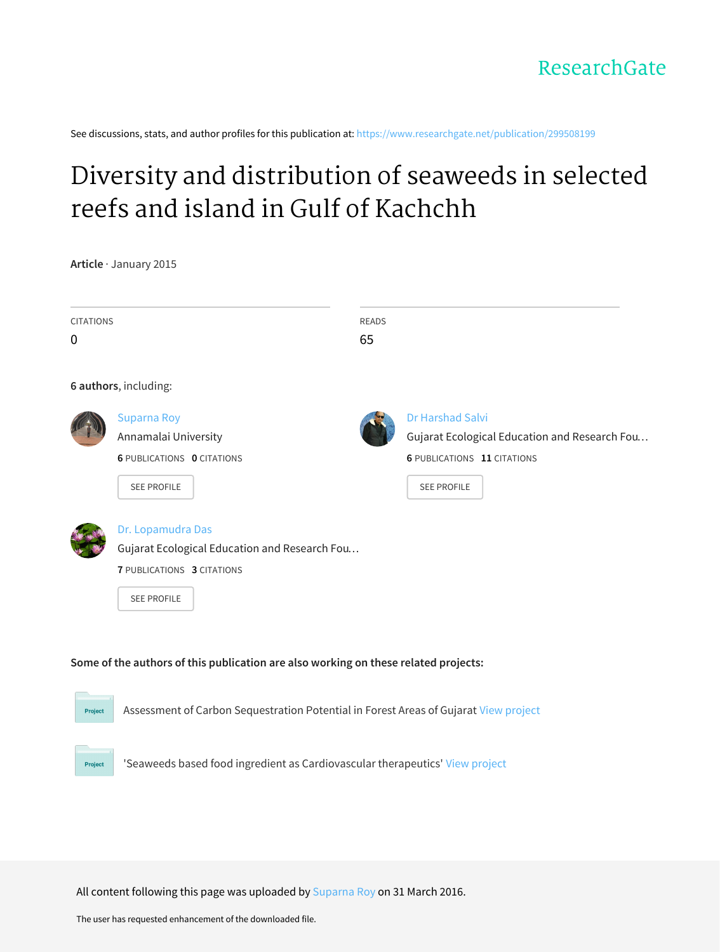See discussions, stats, and author profiles for this publication at: [https://www.researchgate.net/publication/299508199](https://www.researchgate.net/publication/299508199_Diversity_and_distribution_of_seaweeds_in_selected_reefs_and_island_in_Gulf_of_Kachchh?enrichId=rgreq-ce5e73f8ef3df17aa9cf0335617ddbab-XXX&enrichSource=Y292ZXJQYWdlOzI5OTUwODE5OTtBUzozNDU1MzEwMTM0NTE3NzhAMTQ1OTM5MjQyMTcwNA%3D%3D&el=1_x_2&_esc=publicationCoverPdf)

# Diversity and [distribution](https://www.researchgate.net/publication/299508199_Diversity_and_distribution_of_seaweeds_in_selected_reefs_and_island_in_Gulf_of_Kachchh?enrichId=rgreq-ce5e73f8ef3df17aa9cf0335617ddbab-XXX&enrichSource=Y292ZXJQYWdlOzI5OTUwODE5OTtBUzozNDU1MzEwMTM0NTE3NzhAMTQ1OTM5MjQyMTcwNA%3D%3D&el=1_x_3&_esc=publicationCoverPdf) of seaweeds in selected reefs and island in Gulf of Kachchh

**Article** · January 2015

| <b>CITATIONS</b><br>$\mathbf 0$ |                                                                                      | <b>READS</b><br>65 |                                               |  |  |  |
|---------------------------------|--------------------------------------------------------------------------------------|--------------------|-----------------------------------------------|--|--|--|
|                                 |                                                                                      |                    |                                               |  |  |  |
|                                 | 6 authors, including:                                                                |                    |                                               |  |  |  |
|                                 | <b>Suparna Roy</b>                                                                   |                    | <b>Dr Harshad Salvi</b>                       |  |  |  |
|                                 | Annamalai University                                                                 |                    | Gujarat Ecological Education and Research Fou |  |  |  |
|                                 | <b>6 PUBLICATIONS 0 CITATIONS</b>                                                    |                    | <b>6 PUBLICATIONS 11 CITATIONS</b>            |  |  |  |
|                                 | SEE PROFILE                                                                          |                    | <b>SEE PROFILE</b>                            |  |  |  |
|                                 |                                                                                      |                    |                                               |  |  |  |
|                                 | Dr. Lopamudra Das                                                                    |                    |                                               |  |  |  |
|                                 | Gujarat Ecological Education and Research Fou                                        |                    |                                               |  |  |  |
|                                 | <b>7 PUBLICATIONS 3 CITATIONS</b>                                                    |                    |                                               |  |  |  |
|                                 | <b>SEE PROFILE</b>                                                                   |                    |                                               |  |  |  |
|                                 |                                                                                      |                    |                                               |  |  |  |
|                                 |                                                                                      |                    |                                               |  |  |  |
|                                 | Some of the authors of this publication are also working on these related projects:  |                    |                                               |  |  |  |
|                                 |                                                                                      |                    |                                               |  |  |  |
|                                 |                                                                                      |                    |                                               |  |  |  |
| Project                         | Assessment of Carbon Sequestration Potential in Forest Areas of Gujarat View project |                    |                                               |  |  |  |
|                                 |                                                                                      |                    |                                               |  |  |  |
|                                 |                                                                                      |                    |                                               |  |  |  |

All content following this page was uploaded by [Suparna](https://www.researchgate.net/profile/Suparna_Roy3?enrichId=rgreq-ce5e73f8ef3df17aa9cf0335617ddbab-XXX&enrichSource=Y292ZXJQYWdlOzI5OTUwODE5OTtBUzozNDU1MzEwMTM0NTE3NzhAMTQ1OTM5MjQyMTcwNA%3D%3D&el=1_x_10&_esc=publicationCoverPdf) Roy on 31 March 2016.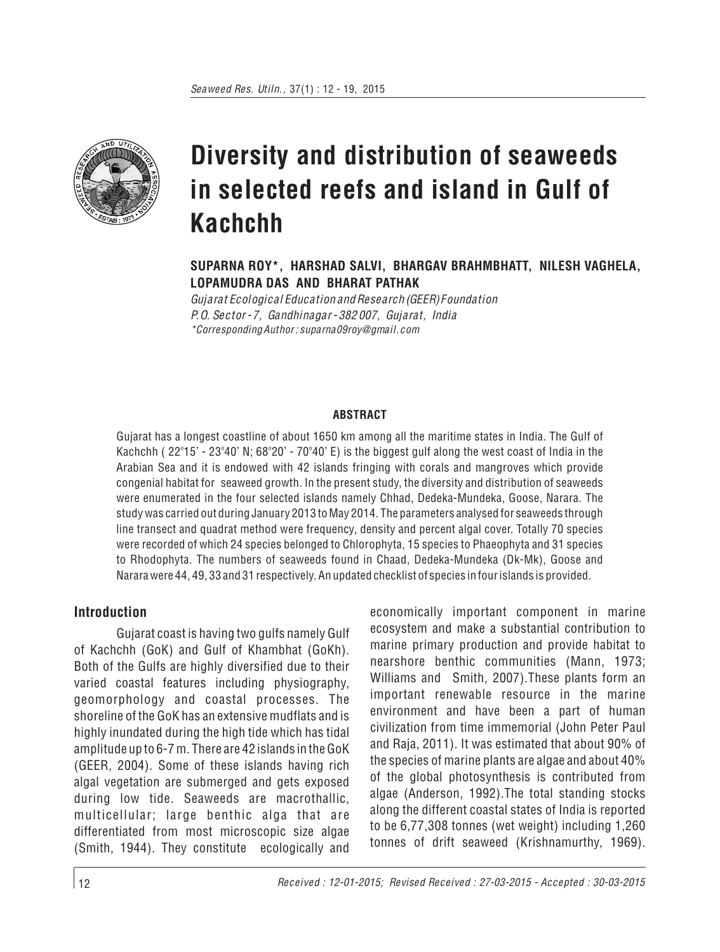

**SUPARNA ROY\*, HARSHAD SALVI, BHARGAV BRAHMBHATT, NILESH VAGHELA, LOPAMUDRA DAS AND BHARAT PATHAK**

*Gujarat Ecological Education and Research (GEER) Foundation P.O. Sector - 7, Gandhinagar - 382 007, Gujarat, India \*Corresponding Author : suparna09roy@gmail.com*

#### **ABSTRACT**

Gujarat has a longest coastline of about 1650 km among all the maritime states in India. The Gulf of Kachchh ( 22°15' - 23°40' N; 68°20' - 70°40' E) is the biggest gulf along the west coast of India in the Arabian Sea and it is endowed with 42 islands fringing with corals and mangroves which provide congenial habitat for seaweed growth. In the present study, the diversity and distribution of seaweeds were enumerated in the four selected islands namely Chhad, Dedeka-Mundeka, Goose, Narara. The study was carried out during January 2013 to May 2014. The parameters analysed for seaweeds through line transect and quadrat method were frequency, density and percent algal cover. Totally 70 species were recorded of which 24 species belonged to Chlorophyta, 15 species to Phaeophyta and 31 species to Rhodophyta. The numbers of seaweeds found in Chaad, Dedeka-Mundeka (Dk-Mk), Goose and Narara were 44, 49, 33 and 31 respectively. An updated checklist of species in four islands is provided.

### **Introduction**

Gujarat coast is having two gulfs namely Gulf of Kachchh (GoK) and Gulf of Khambhat (GoKh). Both of the Gulfs are highly diversified due to their varied coastal features including physiography, geomorphology and coastal processes. The shoreline of the GoK has an extensive mudflats and is highly inundated during the high tide which has tidal amplitude up to 6-7 m. There are 42 islands in the GoK (GEER, 2004). Some of these islands having rich algal vegetation are submerged and gets exposed during low tide. Seaweeds are macrothallic, multicellular; large benthic alga that are differentiated from most microscopic size algae (Smith, 1944). They constitute ecologically and

economically important component in marine ecosystem and make a substantial contribution to marine primary production and provide habitat to nearshore benthic communities (Mann, 1973; Williams and Smith, 2007).These plants form an important renewable resource in the marine environment and have been a part of human civilization from time immemorial (John Peter Paul and Raja, 2011). It was estimated that about 90% of the species of marine plants are algae and about 40% of the global photosynthesis is contributed from algae (Anderson, 1992).The total standing stocks along the different coastal states of India is reported to be 6,77,308 tonnes (wet weight) including 1,260 tonnes of drift seaweed (Krishnamurthy, 1969).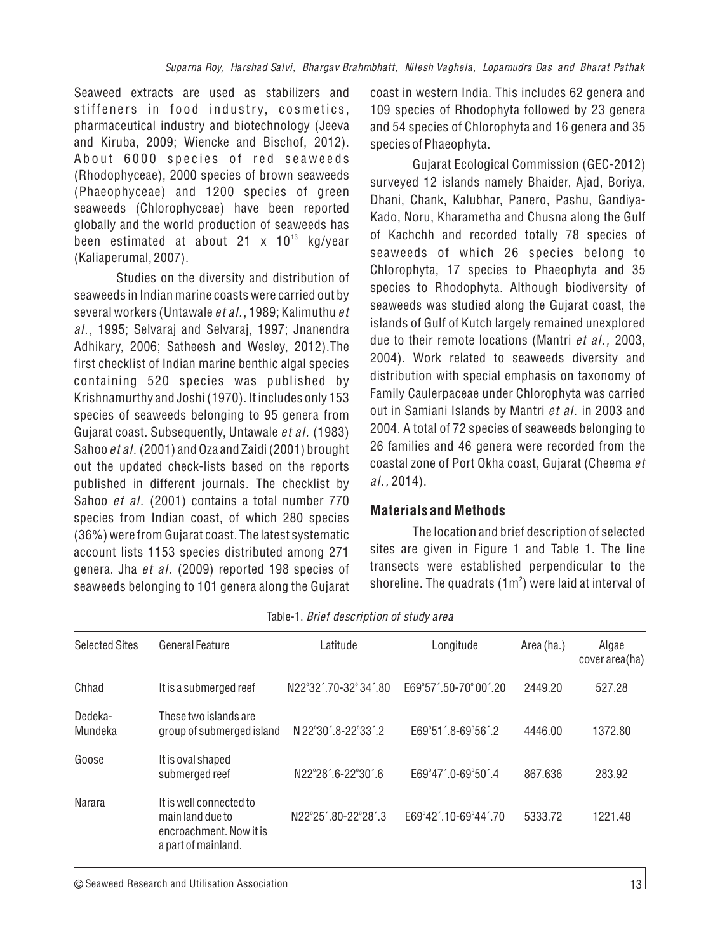Seaweed extracts are used as stabilizers and stiffeners in food industry, cosmetics, pharmaceutical industry and biotechnology (Jeeva and Kiruba, 2009; Wiencke and Bischof, 2012). About 6000 species of red seaweeds (Rhodophyceae), 2000 species of brown seaweeds (Phaeophyceae) and 1200 species of green seaweeds (Chlorophyceae) have been reported globally and the world production of seaweeds has been estimated at about 21 x 10<sup>13</sup> kg/year (Kaliaperumal, 2007).

Studies on the diversity and distribution of seaweeds in Indian marine coasts were carried out by several workers (Untawale *et al.*, 1989; Kalimuthu *et al.*, 1995; Selvaraj and Selvaraj, 1997; Jnanendra Adhikary, 2006; Satheesh and Wesley, 2012).The first checklist of Indian marine benthic algal species containing 520 species was published by Krishnamurthy and Joshi (1970). It includes only 153 species of seaweeds belonging to 95 genera from Gujarat coast. Subsequently, Untawale *et al.* (1983) Sahoo *et al.*(2001) and Oza and Zaidi (2001) brought out the updated check-lists based on the reports published in different journals. The checklist by Sahoo *et al.* (2001) contains a total number 770 species from Indian coast, of which 280 species (36%) were from Gujarat coast. The latest systematic account lists 1153 species distributed among 271 genera. Jha *et al.* (2009) reported 198 species of seaweeds belonging to 101 genera along the Gujarat

coast in western India. This includes 62 genera and 109 species of Rhodophyta followed by 23 genera and 54 species of Chlorophyta and 16 genera and 35 species of Phaeophyta.

Gujarat Ecological Commission (GEC-2012) surveyed 12 islands namely Bhaider, Ajad, Boriya, Dhani, Chank, Kalubhar, Panero, Pashu, Gandiya-Kado, Noru, Kharametha and Chusna along the Gulf of Kachchh and recorded totally 78 species of seaweeds of which 26 species belong to Chlorophyta, 17 species to Phaeophyta and 35 species to Rhodophyta. Although biodiversity of seaweeds was studied along the Gujarat coast, the islands of Gulf of Kutch largely remained unexplored due to their remote locations (Mantri *et al.,* 2003, 2004). Work related to seaweeds diversity and distribution with special emphasis on taxonomy of Family Caulerpaceae under Chlorophyta was carried out in Samiani Islands by Mantri *et al.* in 2003 and 2004. A total of 72 species of seaweeds belonging to 26 families and 46 genera were recorded from the coastal zone of Port Okha coast, Gujarat (Cheema *et al.,* 2014).

#### **Materials and Methods**

The location and brief description of selected sites are given in Figure 1 and Table 1. The line transects were established perpendicular to the shoreline. The quadrats (1 $\text{m}^2$ ) were laid at interval of

| <b>Selected Sites</b> | General Feature                                                                               | Latitude             | Longitude                                          | Area (ha.) | Algae<br>cover area(ha) |
|-----------------------|-----------------------------------------------------------------------------------------------|----------------------|----------------------------------------------------|------------|-------------------------|
| Chhad                 | It is a submerged reef                                                                        | N22°32´.70-32°34´.80 | E69°57´.50-70°00´.20                               | 2449.20    | 527.28                  |
| Dedeka-<br>Mundeka    | These two islands are<br>group of submerged island                                            | N 22°30´.8-22°33´.2  | $E69^{\circ}51^{\prime}.8-69^{\circ}56^{\prime}.2$ | 4446.00    | 1372.80                 |
| Goose                 | It is oval shaped<br>submerged reef                                                           | N22°28´6-22°30´6     | $F69^{\circ}47'0 - 69^{\circ}50'4$                 | 867.636    | 283.92                  |
| Narara                | It is well connected to<br>main land due to<br>encroachment. Now it is<br>a part of mainland. | N22°25´80-22°28´3    | F69°42' 10-69°44' 70                               | 5333.72    | 1221.48                 |

Table-1. *Brief description of study area*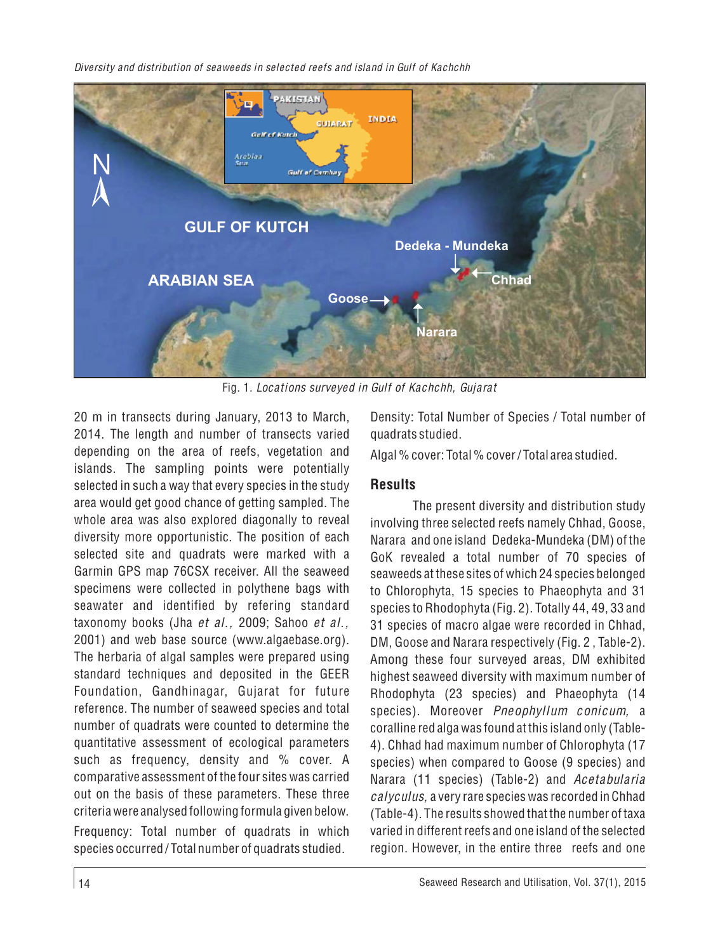

Fig. 1. *Locations surveyed in Gulf of Kachchh, Gujarat*

20 m in transects during January, 2013 to March, 2014. The length and number of transects varied depending on the area of reefs, vegetation and islands. The sampling points were potentially selected in such a way that every species in the study area would get good chance of getting sampled. The whole area was also explored diagonally to reveal diversity more opportunistic. The position of each selected site and quadrats were marked with a Garmin GPS map 76CSX receiver. All the seaweed specimens were collected in polythene bags with seawater and identified by refering standard taxonomy books (Jha *et al.,* 2009; Sahoo *et al.,* 2001) and web base source (www.algaebase.org). The herbaria of algal samples were prepared using standard techniques and deposited in the GEER Foundation, Gandhinagar, Gujarat for future reference. The number of seaweed species and total number of quadrats were counted to determine the quantitative assessment of ecological parameters such as frequency, density and % cover. A comparative assessment of the four sites was carried out on the basis of these parameters. These three criteria were analysed following formula given below. Frequency: Total number of quadrats in which species occurred / Total number of quadrats studied.

Density: Total Number of Species / Total number of quadrats studied.

Algal % cover: Total % cover / Total area studied.

### **Results**

The present diversity and distribution study involving three selected reefs namely Chhad, Goose, Narara and one island Dedeka-Mundeka (DM) of the GoK revealed a total number of 70 species of seaweeds at these sites of which 24 species belonged to Chlorophyta, 15 species to Phaeophyta and 31 species to Rhodophyta (Fig. 2). Totally 44, 49, 33 and 31 species of macro algae were recorded in Chhad, DM, Goose and Narara respectively (Fig. 2 , Table-2). Among these four surveyed areas, DM exhibited highest seaweed diversity with maximum number of Rhodophyta (23 species) and Phaeophyta (14 species). Moreover *Pneophyllum conicum,* a coralline red alga was found at this island only (Table-4). Chhad had maximum number of Chlorophyta (17 species) when compared to Goose (9 species) and Narara (11 species) (Table-2) and *Acetabularia calyculus,* a very rare species was recorded in Chhad (Table-4). The results showed that the number of taxa varied in different reefs and one island of the selected region. However, in the entire three reefs and one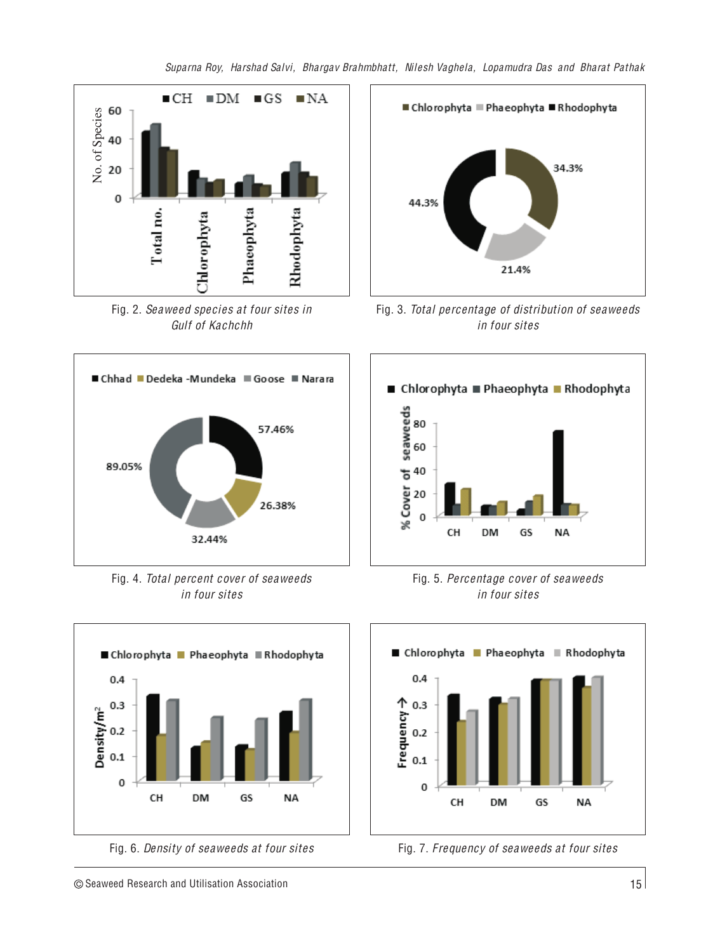

Fig. 2. *Seaweed species at four sites in Gulf of Kachchh*



Fig. 4. *Total percent cover of seaweeds in four sites*





Fig. 3. *Total percentage of distribution of seaweeds in four sites*







Fig. 6. *Density of seaweeds at four sites* Fig. 7. *Frequency of seaweeds at four sites*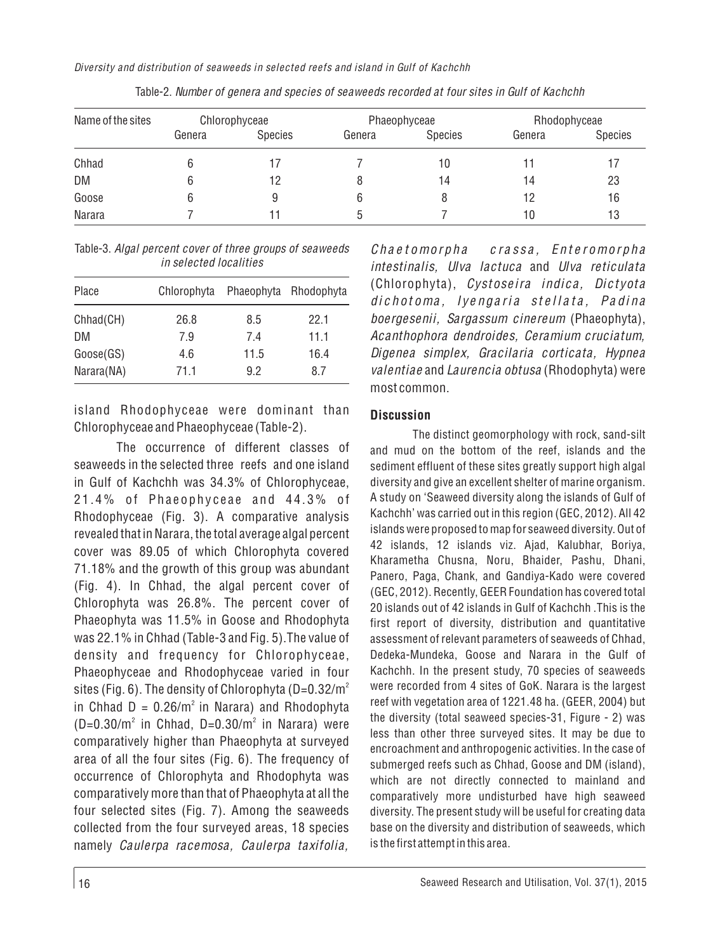| Name of the sites | Chlorophyceae |         | Phaeophyceae |         | Rhodophyceae |         |
|-------------------|---------------|---------|--------------|---------|--------------|---------|
|                   | Genera        | Species | Genera       | Species | Genera       | Species |
| Chhad             |               |         |              | 10      |              |         |
| DM                |               | 12      |              | 14      | 14           | 23      |
| Goose             |               | 9       |              |         | 12           | 16      |
| Narara            |               |         |              |         | 10           | 13      |

Table-2. *Number of genera and species of seaweeds recorded at four sites in Gulf of Kachchh*

Table-3. *Algal percent cover of three groups of seaweeds in selected localities*

| Place      | Chlorophyta | Phaeophyta | Rhodophyta |  |  |
|------------|-------------|------------|------------|--|--|
| Chhad(CH)  | 26.8        | 8.5        | 22.1       |  |  |
| DM         | 7.9         | 74         | 11.1       |  |  |
| Goose(GS)  | 4.6         | 11.5       | 16.4       |  |  |
| Narara(NA) | 71.1        | 92         | 87         |  |  |

island Rhodophyceae were dominant than Chlorophyceae and Phaeophyceae (Table-2).

The occurrence of different classes of seaweeds in the selected three reefs and one island in Gulf of Kachchh was 34.3% of Chlorophyceae, 21.4% of Phaeophyceae and 44.3% of Rhodophyceae (Fig. 3). A comparative analysis revealed that in Narara, the total average algal percent cover was 89.05 of which Chlorophyta covered 71.18% and the growth of this group was abundant (Fig. 4). In Chhad, the algal percent cover of Chlorophyta was 26.8%. The percent cover of Phaeophyta was 11.5% in Goose and Rhodophyta was 22.1% in Chhad (Table-3 and Fig. 5).The value of density and frequency for Chlorophyceae, Phaeophyceae and Rhodophyceae varied in four sites (Fig. 6). The density of Chlorophyta (D=0.32/m $^{\circ}$ in Chhad  $D = 0.26/m^2$  in Narara) and Rhodophyta  $(D=0.30/m<sup>2</sup>$  in Chhad, D=0.30/m<sup>2</sup> in Narara) were comparatively higher than Phaeophyta at surveyed area of all the four sites (Fig. 6). The frequency of occurrence of Chlorophyta and Rhodophyta was comparatively more than that of Phaeophyta at all the four selected sites (Fig. 7). Among the seaweeds collected from the four surveyed areas, 18 species namely *Caulerpa racemosa, Caulerpa taxifolia,* 

Chaetomorpha crassa, Enteromorpha *intestinalis, Ulva lactuca* and *Ulva reticulata* (Chlorophyta), *Cystoseira indica, Dictyota* dichotoma, lyengaria stellata, Padina *boergesenii, Sargassum cinereum* (Phaeophyta), *Acanthophora dendroides, Ceramium cruciatum, Digenea simplex, Gracilaria corticata, Hypnea valentiae* and *Laurencia obtusa* (Rhodophyta) were most common.

#### **Discussion**

The distinct geomorphology with rock, sand-silt and mud on the bottom of the reef, islands and the sediment effluent of these sites greatly support high algal diversity and give an excellent shelter of marine organism. A study on 'Seaweed diversity along the islands of Gulf of Kachchh' was carried out in this region (GEC, 2012). All 42 islands were proposed to map for seaweed diversity. Out of 42 islands, 12 islands viz. Ajad, Kalubhar, Boriya, Kharametha Chusna, Noru, Bhaider, Pashu, Dhani, Panero, Paga, Chank, and Gandiya-Kado were covered (GEC, 2012). Recently, GEER Foundation has covered total 20 islands out of 42 islands in Gulf of Kachchh .This is the first report of diversity, distribution and quantitative assessment of relevant parameters of seaweeds of Chhad, Dedeka-Mundeka, Goose and Narara in the Gulf of Kachchh. In the present study, 70 species of seaweeds were recorded from 4 sites of GoK. Narara is the largest reef with vegetation area of 1221.48 ha. (GEER, 2004) but the diversity (total seaweed species-31, Figure - 2) was less than other three surveyed sites. It may be due to encroachment and anthropogenic activities. In the case of submerged reefs such as Chhad, Goose and DM (island), which are not directly connected to mainland and comparatively more undisturbed have high seaweed diversity. The present study will be useful for creating data base on the diversity and distribution of seaweeds, which is the first attempt in this area.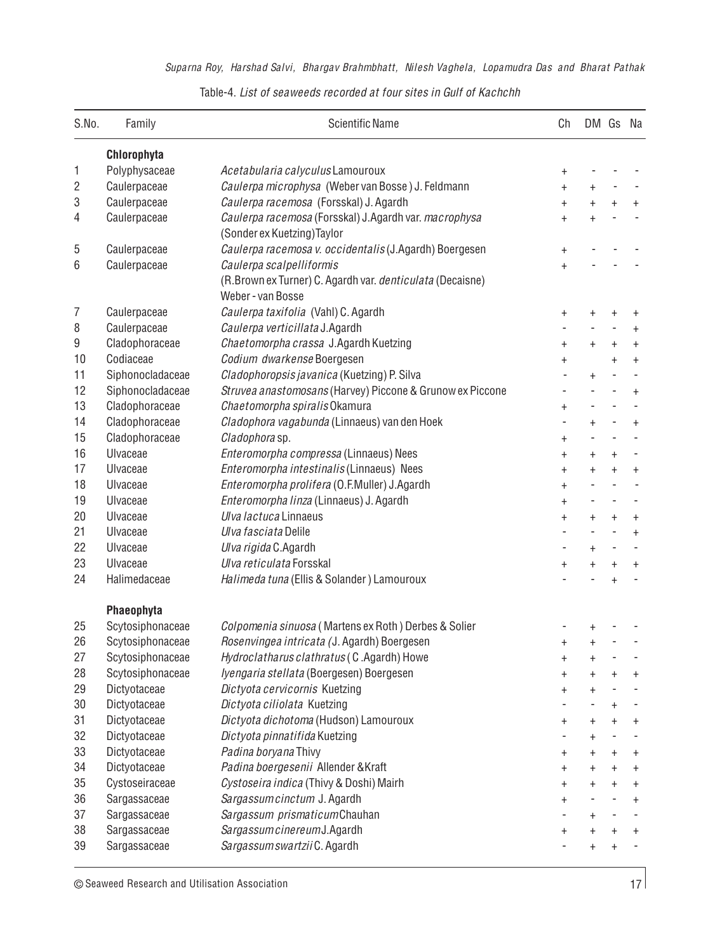| S.No.          | Family           | <b>Scientific Name</b>                                    | Ch             |            | DM Gs Na         |            |
|----------------|------------------|-----------------------------------------------------------|----------------|------------|------------------|------------|
|                | Chlorophyta      |                                                           |                |            |                  |            |
| 1              | Polyphysaceae    | Acetabularia calyculus Lamouroux                          | $\ddot{}$      |            |                  |            |
| 2              | Caulerpaceae     | Caulerpa microphysa (Weber van Bosse) J. Feldmann         | $\ddot{}$      | $\ddot{}$  |                  |            |
| 3              | Caulerpaceae     | Caulerpa racemosa (Forsskal) J. Agardh                    | $\ddot{}$      | $\ddot{}$  | $\ddot{}$        | $\ddot{}$  |
| 4              | Caulerpaceae     | Caulerpa racemosa (Forsskal) J.Agardh var. macrophysa     | $\ddot{}$      | $\ddot{}$  |                  |            |
|                |                  | (Sonder ex Kuetzing) Taylor                               |                |            |                  |            |
| 5              | Caulerpaceae     | Caulerpa racemosa v. occidentalis (J.Agardh) Boergesen    | $\pmb{+}$      |            |                  |            |
| 6              | Caulerpaceae     | Caulerpa scalpelliformis                                  | $\ddot{}$      |            |                  |            |
|                |                  | (R.Brown ex Turner) C. Agardh var. denticulata (Decaisne) |                |            |                  |            |
|                |                  | Weber - van Bosse                                         |                |            |                  |            |
| $\overline{7}$ | Caulerpaceae     | Caulerpa taxifolia (Vahl) C. Agardh                       | $\ddot{}$      | $\ddagger$ | $\ddagger$       | $\ddagger$ |
| 8              | Caulerpaceae     | Caulerpa verticillata J.Agardh                            |                |            |                  | $\ddot{}$  |
| 9              | Cladophoraceae   | Chaetomorpha crassa J.Agardh Kuetzing                     | $\ddot{}$      | $\ddot{}$  | $\ddot{}$        | $\ddot{}$  |
| 10             | Codiaceae        | Codium dwarkense Boergesen                                | $\pmb{+}$      |            | $\ddot{}$        | $\ddot{}$  |
| 11             | Siphonocladaceae | Cladophoropsis javanica (Kuetzing) P. Silva               |                | $\ddot{}$  |                  |            |
| 12             | Siphonocladaceae | Struvea anastomosans (Harvey) Piccone & Grunow ex Piccone |                |            |                  | $\ddot{}$  |
| 13             | Cladophoraceae   | Chaetomorpha spiralis Okamura                             | $\ddot{}$      |            |                  |            |
| 14             | Cladophoraceae   | Cladophora vagabunda (Linnaeus) van den Hoek              |                | $\ddot{}$  |                  | $\ddot{}$  |
| 15             | Cladophoraceae   | Cladophorasp.                                             | $\ddot{}$      |            |                  |            |
| 16             | <b>Ulvaceae</b>  | Enteromorpha compressa (Linnaeus) Nees                    | $\ddot{}$      | $\ddot{}$  | $\ddagger$       |            |
| 17             | Ulvaceae         | Enteromorpha intestinalis (Linnaeus) Nees                 | $\ddot{}$      | $\ddot{}$  | $\boldsymbol{+}$ | $\ddagger$ |
| 18             | Ulvaceae         | Enteromorpha prolifera (O.F.Muller) J.Agardh              | $\ddot{}$      |            |                  |            |
| 19             | <b>Ulvaceae</b>  | Enteromorpha linza (Linnaeus) J. Agardh                   | $\ddot{}$      |            |                  |            |
| 20             | Ulvaceae         | Ulva lactuca Linnaeus                                     | $\ddot{}$      | $\ddot{}$  | $\ddot{}$        | $+$        |
| 21             | Ulvaceae         | Ulva fasciata Delile                                      |                |            | ÷,               | $\ddot{}$  |
| 22             | Ulvaceae         | Ulva rigida C.Agardh                                      |                | $\ddot{}$  | ×,               |            |
| 23             | Ulvaceae         | Ulva reticulata Forsskal                                  | $\ddot{}$      | $\ddot{}$  | $\ddot{}$        | $\ddot{}$  |
| 24             | Halimedaceae     | Halimeda tuna (Ellis & Solander) Lamouroux                |                |            | $\ddot{}$        |            |
|                | Phaeophyta       |                                                           |                |            |                  |            |
| 25             | Scytosiphonaceae | Colpomenia sinuosa (Martens ex Roth) Derbes & Solier      |                |            |                  |            |
| 26             | Scytosiphonaceae | Rosenvingea intricata (J. Agardh) Boergesen               | $\pmb{+}$      | $\pmb{+}$  |                  |            |
| 27             | Scytosiphonaceae | Hydroclatharus clathratus (C.Agardh) Howe                 | $\ddot{}$      | $\ddot{}$  |                  |            |
| 28             | Scytosiphonaceae | Iyengaria stellata (Boergesen) Boergesen                  | $\overline{+}$ | $\ddot{}$  | $\ddagger$       | $\ddot{}$  |
| 29             | Dictyotaceae     | Dictyota cervicornis Kuetzing                             | $\ddot{}$      | $\ddagger$ |                  |            |
| 30             | Dictyotaceae     | Dictyota ciliolata Kuetzing                               |                |            | $\ddot{}$        |            |
| 31             | Dictyotaceae     | Dictyota dichotoma (Hudson) Lamouroux                     | $\pmb{+}$      | $\ddagger$ | $\ddot{}$        | $\ddot{}$  |
| 32             | Dictyotaceae     | Dictyota pinnatifida Kuetzing                             |                | $\ddot{}$  |                  |            |
| 33             | Dictyotaceae     | Padina boryana Thivy                                      | $\ddagger$     | $\ddagger$ | $\ddot{}$        | $\ddot{}$  |
| 34             | Dictyotaceae     | Padina boergesenii Allender & Kraft                       | $\ddagger$     | $\ddot{}$  | $\ddot{}$        | $\ddot{}$  |
| 35             | Cystoseiraceae   | Cystoseira indica (Thivy & Doshi) Mairh                   | $\ddot{}$      | $\ddagger$ | $\ddot{}$        | $\ddot{}$  |
| 36             | Sargassaceae     | Sargassumcinctum J. Agardh                                | $\ddagger$     |            |                  | $\ddot{}$  |
| 37             | Sargassaceae     | Sargassum prismaticum Chauhan                             |                | $\ddot{}$  |                  |            |
| 38             | Sargassaceae     | Sargassum cinereum J. Agardh                              | $\ddot{}$      | $\ddot{}$  | $\ddot{}$        | $\ddot{}$  |
| 39             | Sargassaceae     | Sargassum swartzii C. Agardh                              |                | $\ddot{}$  | $\ddagger$       |            |

Table-4. *List of seaweeds recorded at four sites in Gulf of Kachchh*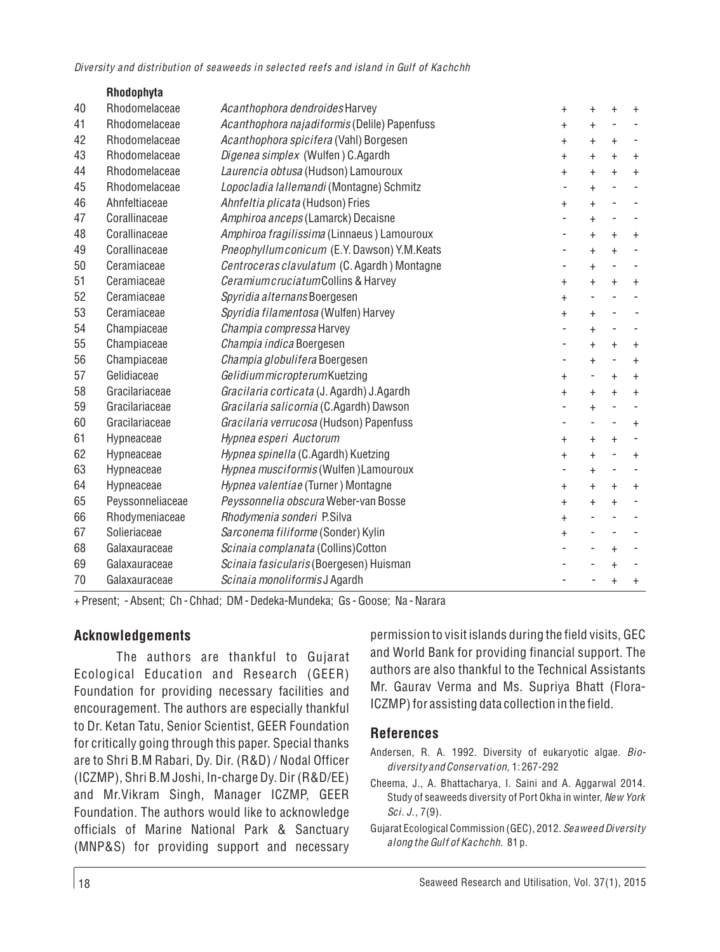|    | Rhodophyta       |                                              |                          |                              |                          |           |
|----|------------------|----------------------------------------------|--------------------------|------------------------------|--------------------------|-----------|
| 40 | Rhodomelaceae    | Acanthophora dendroides Harvey               | $\ddot{}$                | $\ddot{}$                    | $\ddot{}$                | $\ddot{}$ |
| 41 | Rhodomelaceae    | Acanthophora najadiformis (Delile) Papenfuss | $\pmb{+}$                | $\ddot{}$                    |                          |           |
| 42 | Rhodomelaceae    | Acanthophora spicifera (Vahl) Borgesen       | $\ddot{}$                | $\ddot{}$                    | $\ddot{}$                |           |
| 43 | Rhodomelaceae    | Digenea simplex (Wulfen) C.Agardh            | $\ddot{}$                | $\ddot{}$                    | $+$                      | $\ddot{}$ |
| 44 | Rhodomelaceae    | Laurencia obtusa (Hudson) Lamouroux          | $\overline{+}$           | $\ddot{}$                    | $\ddot{}$                | $+$       |
| 45 | Rhodomelaceae    | Lopocladia lallemandi (Montagne) Schmitz     |                          | $\ddot{}$                    |                          |           |
| 46 | Ahnfeltiaceae    | Ahnfeltia plicata (Hudson) Fries             | $\ddot{}$                | $\ddot{}$                    |                          |           |
| 47 | Corallinaceae    | Amphiroa anceps (Lamarck) Decaisne           |                          | $\ddot{}$                    |                          |           |
| 48 | Corallinaceae    | Amphiroa fragilissima (Linnaeus) Lamouroux   | ÷                        | $\ddot{}$                    | $+$                      | $+$       |
| 49 | Corallinaceae    | Pneophyllumconicum (E.Y. Dawson) Y.M.Keats   | ۰                        | $\ddot{}$                    | $+$                      |           |
| 50 | Ceramiaceae      | Centroceras clavulatum (C. Agardh) Montagne  |                          | $\ddot{}$                    |                          |           |
| 51 | Ceramiaceae      | Ceramium cruciatum Collins & Harvey          | $\ddot{}$                | $\ddot{}$                    | $+$                      | $+$       |
| 52 | Ceramiaceae      | Spyridia alternans Boergesen                 | $\ddot{}$                | $\qquad \qquad \blacksquare$ |                          |           |
| 53 | Ceramiaceae      | Spyridia filamentosa (Wulfen) Harvey         | $\ddot{}$                | $\ddot{}$                    | $\overline{\phantom{m}}$ |           |
| 54 | Champiaceae      | Champia compressa Harvey                     |                          | $\ddot{}$                    |                          |           |
| 55 | Champiaceae      | Champia indica Boergesen                     | $\overline{\phantom{m}}$ | $\ddot{}$                    | $+$                      | $^{+}$    |
| 56 | Champiaceae      | Champia globulifera Boergesen                |                          | $\ddot{}$                    |                          | $+$       |
| 57 | Gelidiaceae      | Gelidium micropterum Kuetzing                | $\ddot{}$                |                              | $\ddot{}$                | $\ddot{}$ |
| 58 | Gracilariaceae   | Gracilaria corticata (J. Agardh) J.Agardh    | $\ddot{}$                | $\ddot{}$                    | $+$                      | $+$       |
| 59 | Gracilariaceae   | Gracilaria salicornia (C.Agardh) Dawson      | $\overline{\phantom{0}}$ | $\ddot{}$                    | ÷,                       |           |
| 60 | Gracilariaceae   | Gracilaria verrucosa (Hudson) Papenfuss      | $\overline{\phantom{0}}$ |                              |                          | $+$       |
| 61 | Hypneaceae       | Hypnea esperi Auctorum                       | $\ddot{}$                | $\ddot{}$                    | $+$                      |           |
| 62 | Hypneaceae       | Hypnea spinella (C.Agardh) Kuetzing          | $\ddot{}$                | $\ddot{}$                    | ÷,                       | $+$       |
| 63 | Hypneaceae       | Hypnea musciformis (Wulfen) Lamouroux        |                          | $\ddot{}$                    |                          |           |
| 64 | Hypneaceae       | Hypnea valentiae (Turner) Montagne           | $\ddot{}$                | $\ddot{}$                    | $+$                      | $+$       |
| 65 | Peyssonneliaceae | Peyssonnelia obscura Weber-van Bosse         | $\ddot{}$                | $\ddot{}$                    | $\ddot{+}$               |           |
| 66 | Rhodymeniaceae   | Rhodymenia sonderi P.Silva                   | $\ddot{}$                |                              |                          |           |
| 67 | Solieriaceae     | Sarconema filiforme (Sonder) Kylin           | $\ddot{}$                |                              |                          |           |
| 68 | Galaxauraceae    | Scinaia complanata (Collins) Cotton          |                          |                              | $\ddot{}$                |           |
| 69 | Galaxauraceae    | Scinaia fasicularis (Boergesen) Huisman      |                          |                              | $\ddot{}$                |           |
| 70 | Galaxauraceae    | Scinaia monoliformis J Agardh                |                          |                              | $\ddagger$               | $\ddot{}$ |

+ Present; - Absent; Ch - Chhad; DM - Dedeka-Mundeka; Gs - Goose; Na - Narara

#### **Acknowledgements**

The authors are thankful to Gujarat Ecological Education and Research (GEER) Foundation for providing necessary facilities and encouragement. The authors are especially thankful to Dr. Ketan Tatu, Senior Scientist, GEER Foundation for critically going through this paper. Special thanks are to Shri B.M Rabari, Dy. Dir. (R&D) / Nodal Officer (ICZMP), Shri B.M Joshi, In-charge Dy. Dir (R&D/EE) and Mr.Vikram Singh, Manager ICZMP, GEER Foundation. The authors would like to acknowledge officials of Marine National Park & Sanctuary (MNP&S) for providing support and necessary permission to visit islands during the field visits, GEC and World Bank for providing financial support. The authors are also thankful to the Technical Assistants Mr. Gaurav Verma and Ms. Supriya Bhatt (Flora-ICZMP) for assisting data collection in the field.

#### **References**

- Andersen, R. A. 1992. Diversity of eukaryotic algae. *Biodiversity and Conservation,* 1: 267-292
- Cheema, J., A. Bhattacharya, I. Saini and A. Aggarwal 2014. Study of seaweeds diversity of Port Okha in winter, *New York Sci. J.,* 7(9).
- Gujarat Ecological Commission (GEC), 2012. *Seaweed Diversity along the Gulf of Kachchh*. 81 p.